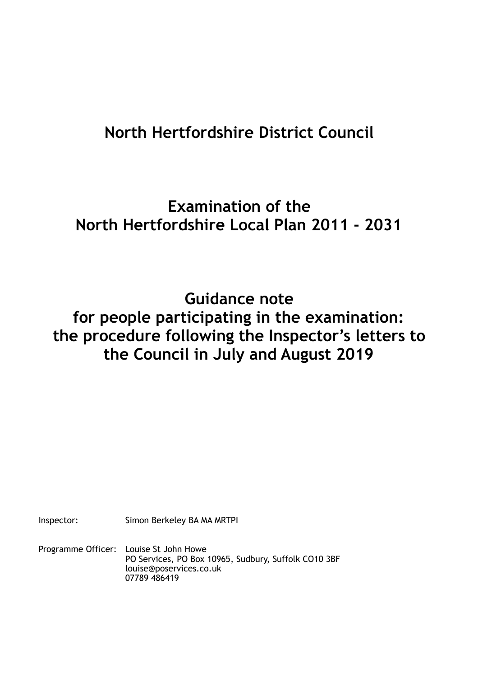# **North Hertfordshire District Council**

## **Examination of the North Hertfordshire Local Plan 2011 - 2031**

**Guidance note for people participating in the examination: the procedure following the Inspector's letters to the Council in July and August 2019** 

Inspector: Simon Berkeley BA MA MRTPI

Programme Officer: Louise St John Howe PO Services, PO Box 10965, Sudbury, Suffolk CO10 3BF louise@poservices.co.uk 07789 486419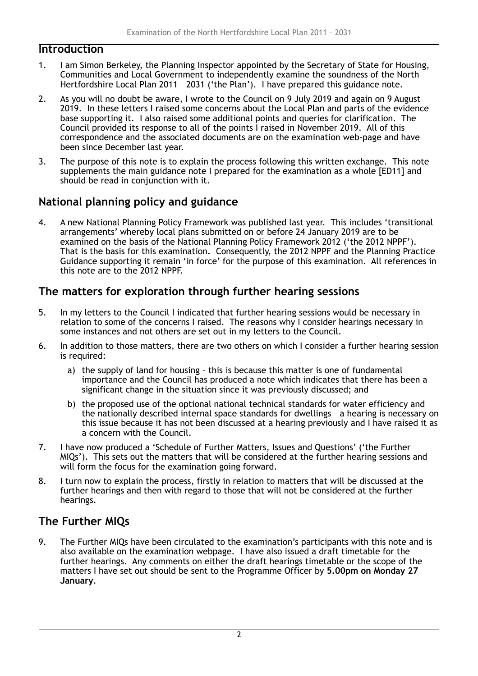#### **Introduction**

- 1. I am Simon Berkeley, the Planning Inspector appointed by the Secretary of State for Housing, Communities and Local Government to independently examine the soundness of the North Hertfordshire Local Plan 2011 – 2031 ('the Plan'). I have prepared this guidance note.
- 2. As you will no doubt be aware, I wrote to the Council on 9 July 2019 and again on 9 August 2019. In these letters I raised some concerns about the Local Plan and parts of the evidence base supporting it. I also raised some additional points and queries for clarification. The Council provided its response to all of the points I raised in November 2019. All of this correspondence and the associated documents are on the examination web-page and have been since December last year.
- 3. The purpose of this note is to explain the process following this written exchange. This note supplements the main guidance note I prepared for the examination as a whole [ED11] and should be read in conjunction with it.

## **National planning policy and guidance**

4. A new National Planning Policy Framework was published last year. This includes 'transitional arrangements' whereby local plans submitted on or before 24 January 2019 are to be examined on the basis of the National Planning Policy Framework 2012 ('the 2012 NPPF'). That is the basis for this examination. Consequently, the 2012 NPPF and the Planning Practice Guidance supporting it remain 'in force' for the purpose of this examination. All references in this note are to the 2012 NPPF.

## **The matters for exploration through further hearing sessions**

- 5. In my letters to the Council I indicated that further hearing sessions would be necessary in relation to some of the concerns I raised. The reasons why I consider hearings necessary in some instances and not others are set out in my letters to the Council.
- 6. In addition to those matters, there are two others on which I consider a further hearing session is required:
	- a) the supply of land for housing this is because this matter is one of fundamental importance and the Council has produced a note which indicates that there has been a significant change in the situation since it was previously discussed; and
	- b) the proposed use of the optional national technical standards for water efficiency and the nationally described internal space standards for dwellings – a hearing is necessary on this issue because it has not been discussed at a hearing previously and I have raised it as a concern with the Council.
- 7. I have now produced a 'Schedule of Further Matters, Issues and Questions' ('the Further MIQs'). This sets out the matters that will be considered at the further hearing sessions and will form the focus for the examination going forward.
- 8. I turn now to explain the process, firstly in relation to matters that will be discussed at the further hearings and then with regard to those that will not be considered at the further hearings.

## **The Further MIQs**

9. The Further MIQs have been circulated to the examination's participants with this note and is also available on the examination webpage. I have also issued a draft timetable for the further hearings. Any comments on either the draft hearings timetable or the scope of the matters I have set out should be sent to the Programme Officer by **5.00pm on Monday 27 January**.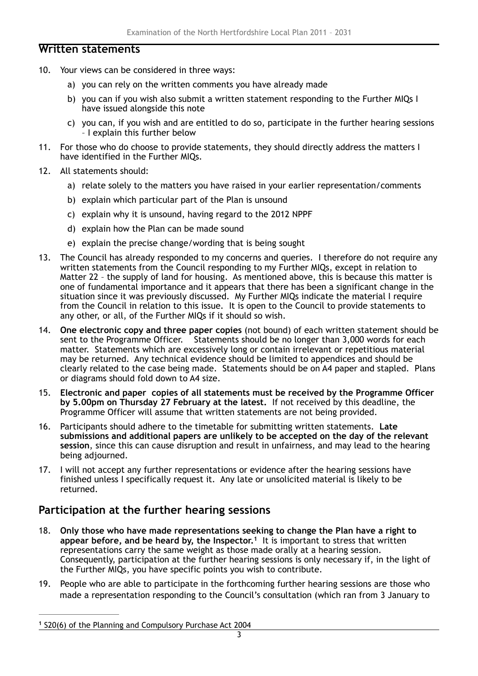#### **Written statements**

- 10. Your views can be considered in three ways:
	- a) you can rely on the written comments you have already made
	- b) you can if you wish also submit a written statement responding to the Further MIQs I have issued alongside this note
	- c) you can, if you wish and are entitled to do so, participate in the further hearing sessions – I explain this further below
- 11. For those who do choose to provide statements, they should directly address the matters I have identified in the Further MIQs.
- 12. All statements should:
	- a) relate solely to the matters you have raised in your earlier representation/comments
	- b) explain which particular part of the Plan is unsound
	- c) explain why it is unsound, having regard to the 2012 NPPF
	- d) explain how the Plan can be made sound
	- e) explain the precise change/wording that is being sought
- 13. The Council has already responded to my concerns and queries. I therefore do not require any written statements from the Council responding to my Further MIQs, except in relation to Matter 22 – the supply of land for housing. As mentioned above, this is because this matter is one of fundamental importance and it appears that there has been a significant change in the situation since it was previously discussed. My Further MIQs indicate the material I require from the Council in relation to this issue. It is open to the Council to provide statements to any other, or all, of the Further MIQs if it should so wish.
- 14. **One electronic copy and three paper copies** (not bound) of each written statement should be sent to the Programme Officer. Statements should be no longer than 3,000 words for each matter. Statements which are excessively long or contain irrelevant or repetitious material may be returned. Any technical evidence should be limited to appendices and should be clearly related to the case being made. Statements should be on A4 paper and stapled. Plans or diagrams should fold down to A4 size.
- 15. **Electronic and paper copies of all statements must be received by the Programme Officer by 5.00pm on Thursday 27 February at the latest.** If not received by this deadline, the Programme Officer will assume that written statements are not being provided.
- 16. Participants should adhere to the timetable for submitting written statements. **Late submissions and additional papers are unlikely to be accepted on the day of the relevant session**, since this can cause disruption and result in unfairness, and may lead to the hearing being adjourned.
- 17. I will not accept any further representations or evidence after the hearing sessions have finished unless I specifically request it. Any late or unsolicited material is likely to be returned.

#### **Participation at the further hearing sessions**

- <span id="page-2-1"></span>18. **Only those who have made representations seeking to change the Plan have a right to**  appear before, and be heard by, the Inspector.<sup>[1](#page-2-0)</sup> It is important to stress that written representations carry the same weight as those made orally at a hearing session. Consequently, participation at the further hearing sessions is only necessary if, in the light of the Further MIQs, you have specific points you wish to contribute.
- 19. People who are able to participate in the forthcoming further hearing sessions are those who made a representation responding to the Council's consultation (which ran from 3 January to

<span id="page-2-0"></span><sup>&</sup>lt;sup>[1](#page-2-1)</sup> S20(6) of the Planning and Compulsory Purchase Act 2004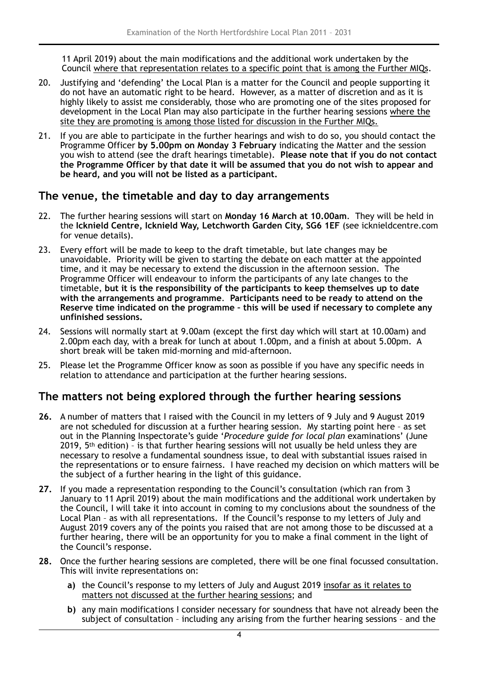11 April 2019) about the main modifications and the additional work undertaken by the Council where that representation relates to a specific point that is among the Further MIQs.

- 20. Justifying and 'defending' the Local Plan is a matter for the Council and people supporting it do not have an automatic right to be heard. However, as a matter of discretion and as it is highly likely to assist me considerably, those who are promoting one of the sites proposed for development in the Local Plan may also participate in the further hearing sessions where the site they are promoting is among those listed for discussion in the Further MIQs.
- 21. If you are able to participate in the further hearings and wish to do so, you should contact the Programme Officer **by 5.00pm on Monday 3 February** indicating the Matter and the session you wish to attend (see the draft hearings timetable). **Please note that if you do not contact the Programme Officer by that date it will be assumed that you do not wish to appear and be heard, and you will not be listed as a participant.**

#### **The venue, the timetable and day to day arrangements**

- 22. The further hearing sessions will start on **Monday 16 March at 10.00am**.They will be held in the **Icknield Centre, Icknield Way, Letchworth Garden City, SG6 1EF** (see icknieldcentre.com for venue details).
- 23. Every effort will be made to keep to the draft timetable, but late changes may be unavoidable. Priority will be given to starting the debate on each matter at the appointed time, and it may be necessary to extend the discussion in the afternoon session. The Programme Officer will endeavour to inform the participants of any late changes to the timetable, **but it is the responsibility of the participants to keep themselves up to date with the arrangements and programme**. **Participants need to be ready to attend on the Reserve time indicated on the programme – this will be used if necessary to complete any unfinished sessions.**
- 24. Sessions will normally start at 9.00am (except the first day which will start at 10.00am) and 2.00pm each day, with a break for lunch at about 1.00pm, and a finish at about 5.00pm. A short break will be taken mid-morning and mid-afternoon.
- 25. Please let the Programme Officer know as soon as possible if you have any specific needs in relation to attendance and participation at the further hearing sessions.

#### **The matters not being explored through the further hearing sessions**

- **26.** A number of matters that I raised with the Council in my letters of 9 July and 9 August 2019 are not scheduled for discussion at a further hearing session. My starting point here – as set out in the Planning Inspectorate's guide '*Procedure guide for local plan* examinations' (June 2019,  $5<sup>th</sup>$  edition) - is that further hearing sessions will not usually be held unless they are necessary to resolve a fundamental soundness issue, to deal with substantial issues raised in the representations or to ensure fairness. I have reached my decision on which matters will be the subject of a further hearing in the light of this guidance.
- **27.** If you made a representation responding to the Council's consultation (which ran from 3 January to 11 April 2019) about the main modifications and the additional work undertaken by the Council, I will take it into account in coming to my conclusions about the soundness of the Local Plan – as with all representations. If the Council's response to my letters of July and August 2019 covers any of the points you raised that are not among those to be discussed at a further hearing, there will be an opportunity for you to make a final comment in the light of the Council's response.
- **28.** Once the further hearing sessions are completed, there will be one final focussed consultation. This will invite representations on:
	- **a)** the Council's response to my letters of July and August 2019 insofar as it relates to matters not discussed at the further hearing sessions; and
	- **b)** any main modifications I consider necessary for soundness that have not already been the subject of consultation – including any arising from the further hearing sessions – and the